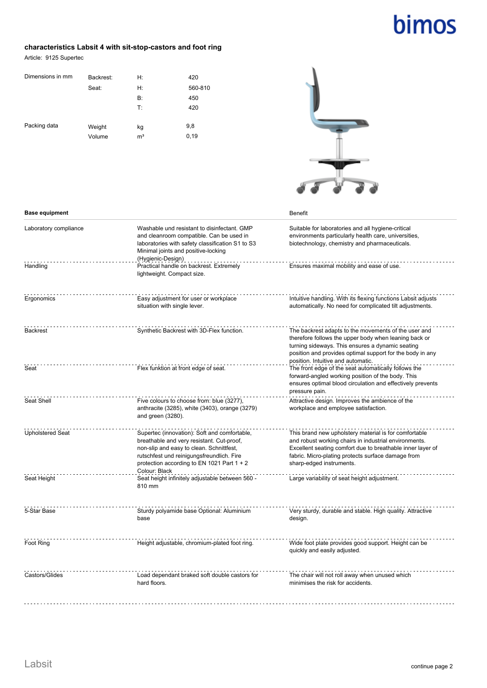# bimos

#### **characteristics Labsit 4 with sit-stop-castors and foot ring**

Article: 9125 Supertec

| Dimensions in mm | Backrest: | H:             | 420     |
|------------------|-----------|----------------|---------|
|                  | Seat:     | H:             | 560-810 |
|                  |           | <b>B</b> :     | 450     |
|                  |           | T:             | 420     |
|                  |           |                |         |
| Packing data     | Weight    | kg             | 9,8     |
|                  | Volume    | m <sup>3</sup> | 0, 19   |
|                  |           |                |         |



| <b>Base equipment</b>   |                                                                                                                                                                                                                                  | <b>Benefit</b>                                                                                                                                                                                                                                                       |
|-------------------------|----------------------------------------------------------------------------------------------------------------------------------------------------------------------------------------------------------------------------------|----------------------------------------------------------------------------------------------------------------------------------------------------------------------------------------------------------------------------------------------------------------------|
| Laboratory compliance   | Washable und resistant to disinfectant. GMP<br>and cleanroom compatible. Can be used in<br>laboratories with safety classification S1 to S3<br>Minimal joints and positive-locking                                               | Suitable for laboratories and all hygiene-critical<br>environments particularly health care, universities,<br>biotechnology, chemistry and pharmaceuticals.                                                                                                          |
| Handling                | (Hygienic-Design)<br>Practical handle on backrest. Extremely<br>lightweight. Compact size.                                                                                                                                       | Ensures maximal mobility and ease of use.                                                                                                                                                                                                                            |
| Ergonomics              | Easy adjustment for user or workplace<br>situation with single lever.                                                                                                                                                            | Intuitive handling. With its flexing functions Labsit adjusts<br>automatically. No need for complicated tilt adjustments.                                                                                                                                            |
| <b>Backrest</b>         | Synthetic Backrest with 3D-Flex function.                                                                                                                                                                                        | The backrest adapts to the movements of the user and<br>therefore follows the upper body when leaning back or<br>turning sideways. This ensures a dynamic seating<br>position and provides optimal support for the body in any<br>position. Intuitive and automatic. |
| Seat                    | Flex funktion at front edge of seat.                                                                                                                                                                                             | The front edge of the seat automatically follows the<br>forward-angled working position of the body. This<br>ensures optimal blood circulation and effectively prevents<br>pressure pain.                                                                            |
| Seat Shell              | Five colours to choose from: blue (3277),<br>anthracite (3285), white (3403), orange (3279)<br>and green (3280).                                                                                                                 | Attractive design. Improves the ambience of the<br>workplace and employee satisfaction.                                                                                                                                                                              |
| <b>Upholstered Seat</b> | Supertec (innovation): Soft and comfortable,<br>breathable and very resistant. Cut-proof,<br>non-slip and easy to clean. Schnittfest,<br>rutschfest und reinigungsfreundlich. Fire<br>protection according to EN 1021 Part 1 + 2 | This brand new upholstery material is for comfortable<br>and robust working chairs in industrial environments.<br>Excellent seating comfort due to breathable inner layer of<br>fabric. Micro-plating protects surface damage from<br>sharp-edged instruments.       |
| Seat Height             | Colour: Black<br>Seat height infinitely adjustable between 560 -<br>810 mm                                                                                                                                                       | Large variability of seat height adjustment.                                                                                                                                                                                                                         |
| 5-Star Base             | Sturdy polyamide base Optional: Aluminium<br>base                                                                                                                                                                                | Very sturdy, durable and stable. High quality. Attractive<br>design.                                                                                                                                                                                                 |
| Foot Ring               | Height adjustable, chromium-plated foot ring.                                                                                                                                                                                    | Wide foot plate provides good support. Height can be<br>quickly and easily adjusted.                                                                                                                                                                                 |
| Castors/Glides          | Load dependant braked soft double castors for<br>hard floors.                                                                                                                                                                    | The chair will not roll away when unused which<br>minimises the risk for accidents.                                                                                                                                                                                  |
|                         |                                                                                                                                                                                                                                  |                                                                                                                                                                                                                                                                      |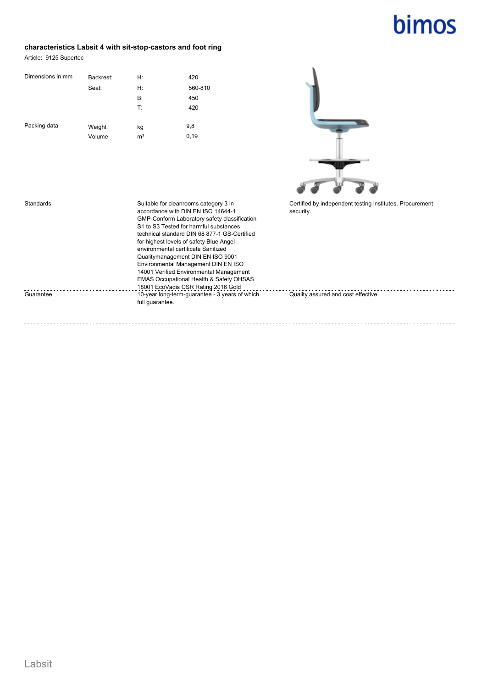## bimos

#### **characteristics Labsit 4 with sit-stop-castors and foot ring**

Article: 9125 Supertec

| Dimensions in mm | Backrest: | H:             | 420     |
|------------------|-----------|----------------|---------|
|                  | Seat:     | H:             | 560-810 |
|                  |           | <b>B</b> :     | 450     |
|                  |           | T:             | 420     |
|                  |           |                |         |
| Packing data     | Weight    | kg             | 9,8     |
|                  | Volume    | m <sup>3</sup> | 0,19    |



| Standards | Suitable for cleanrooms category 3 in<br>accordance with DIN EN ISO 14644-1<br>GMP-Conform Laboratory safety classification<br>S1 to S3 Tested for harmful substances<br>technical standard DIN 68 877-1 GS-Certified<br>for highest levels of safety Blue Angel<br>environmental certificate Sanitized<br>Qualitymanagement DIN EN ISO 9001<br>Environmental Management DIN EN ISO<br>14001 Verified Environmental Management<br><b>EMAS Occupational Health &amp; Safety OHSAS</b><br>18001 EcoVadis CSR Rating 2016 Gold | Certified by independent testing institutes. Procurement<br>security. |
|-----------|-----------------------------------------------------------------------------------------------------------------------------------------------------------------------------------------------------------------------------------------------------------------------------------------------------------------------------------------------------------------------------------------------------------------------------------------------------------------------------------------------------------------------------|-----------------------------------------------------------------------|
| Guarantee | 10-year long-term-quarantee - 3 years of which<br>full quarantee.                                                                                                                                                                                                                                                                                                                                                                                                                                                           | Quality assured and cost effective.                                   |